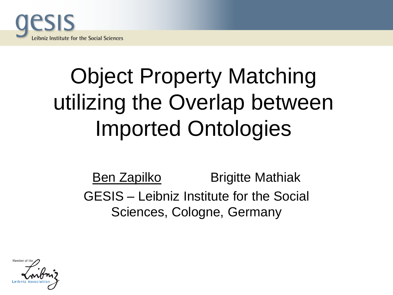

## Object Property Matching utilizing the Overlap between Imported Ontologies

Ben Zapilko Brigitte Mathiak GESIS – Leibniz Institute for the Social Sciences, Cologne, Germany

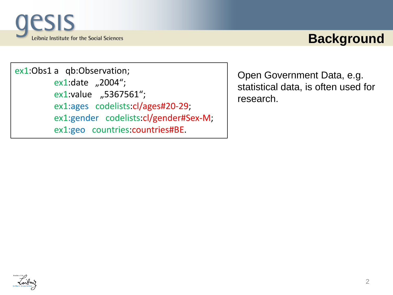

### **Background**

ex1:Obs1 a qb:Observation;  $ex1:date$  "2004"; ex1:value "5367561"; ex1:ages codelists:cl/ages#20-29; ex1:gender codelists:cl/gender#Sex-M; ex1:geo countries:countries#BE.

Open Government Data, e.g. statistical data, is often used for research.

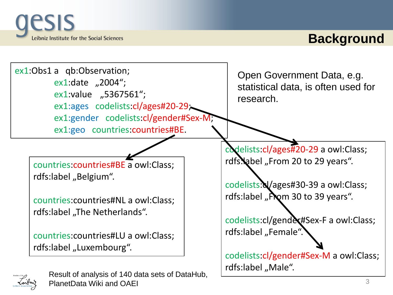

PlanetData Wiki and OAEI

Inibri

## **Background**

| ex1:Obs1 a qb:Observation;<br>ex1:date "2004";<br>ex1:value "5367561";<br>ex1:ages codelists:cl/ages#20-29;<br>ex1:gender codelists:cl/gender#Sex-M;<br>ex1:geo countries:countries#BE. | Open Government Data, e.g.<br>statistical data, is often used for<br>research. |
|-----------------------------------------------------------------------------------------------------------------------------------------------------------------------------------------|--------------------------------------------------------------------------------|
|                                                                                                                                                                                         | codelists: cl/ages#20-29 a owl: Class;                                         |
| countries: countries#BE a owl: Class;                                                                                                                                                   | rdfs. abel "From 20 to 29 years".                                              |
| rdfs:label "Belgium".                                                                                                                                                                   |                                                                                |
|                                                                                                                                                                                         | codelists: Vages#30-39 a owl: Class;                                           |
| countries: countries#NL a owl: Class;                                                                                                                                                   | rdfs:label "Pom 30 to 39 years".                                               |
| rdfs:label "The Netherlands".                                                                                                                                                           |                                                                                |
|                                                                                                                                                                                         | codelists:cl/gendex#Sex-F a owl:Class;                                         |
| countries: countries#LU a owl: Class;                                                                                                                                                   | rdfs:label "Female".                                                           |
| rdfs:label "Luxembourg".                                                                                                                                                                |                                                                                |
|                                                                                                                                                                                         | codelists: cl/gender#Sex-M a owl: Class;                                       |
| Result of analysis of 140 data sets of DataHub,                                                                                                                                         | rdfs:label "Male".                                                             |

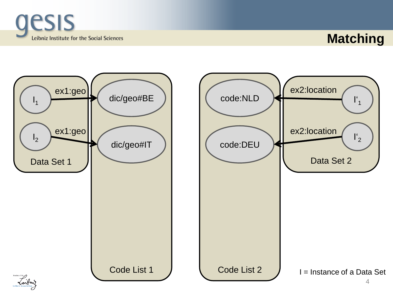

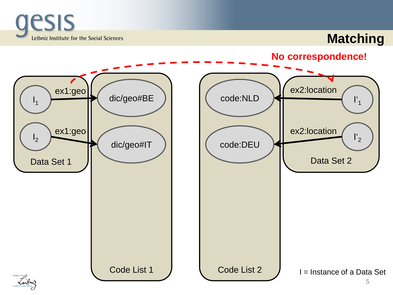

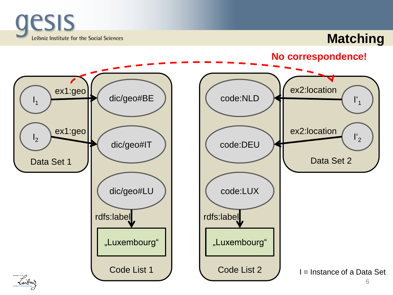

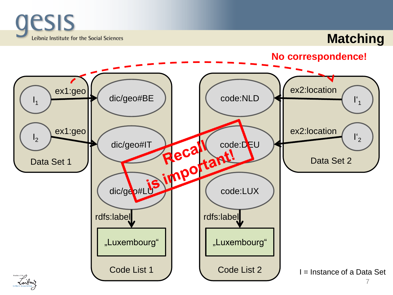

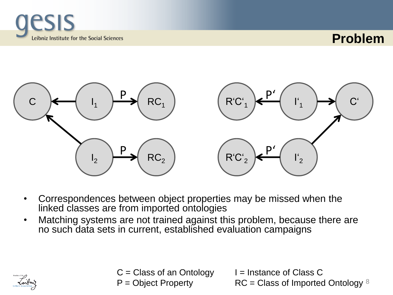





- Correspondences between object properties may be missed when the linked classes are from imported ontologies
- Matching systems are not trained against this problem, because there are no such data sets in current, established evaluation campaigns



 $C =$  Class of an Ontology  $I =$  Instance of Class C

 $P =$  Object Property  $\mathsf{RC} =$  Class of Imported Ontology  $8$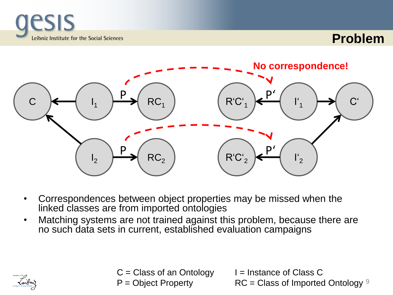





- Correspondences between object properties may be missed when the linked classes are from imported ontologies
- Matching systems are not trained against this problem, because there are no such data sets in current, established evaluation campaigns



 $C =$  Class of an Ontology  $I =$  Instance of Class C

 $P =$  Object Property  $\mathsf{RC} =$  Class of Imported Ontology  $9$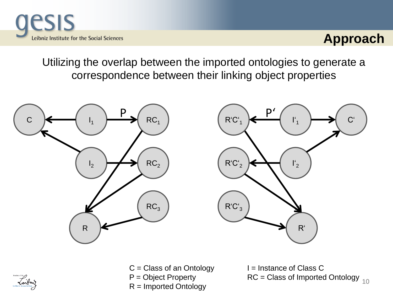

Utilizing the overlap between the imported ontologies to generate a correspondence between their linking object properties

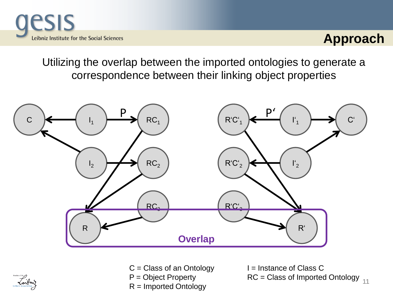

Utilizing the overlap between the imported ontologies to generate a correspondence between their linking object properties





 $C = Class of an Ontology$   $I = Instance of Class C$ R = Imported Ontology

P = Object Property RC = Class of Imported Ontology <sub>11</sub>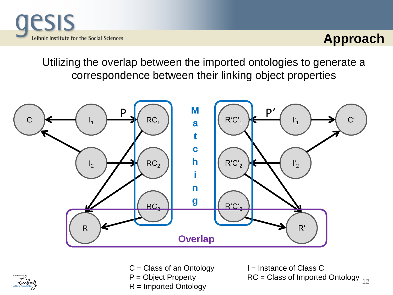

Utilizing the overlap between the imported ontologies to generate a correspondence between their linking object properties





 $C = Class of an Ontology$   $I = Instance of Class C$ R = Imported Ontology

P = Object Property RC = Class of Imported Ontology <sub>12</sub>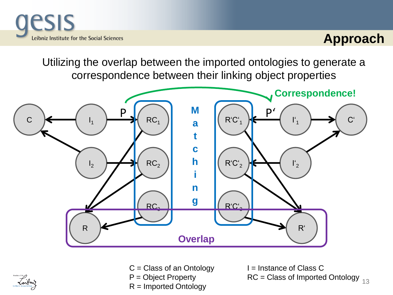

Utilizing the overlap between the imported ontologies to generate a correspondence between their linking object properties





 $C = Class of an Ontology$   $I = Instance of Class C$ R = Imported Ontology

P = Object Property RC = Class of Imported Ontology <sub>13</sub>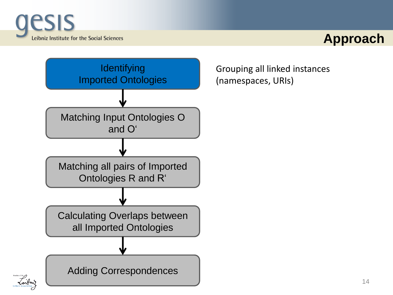



Grouping all linked instances (namespaces, URIs)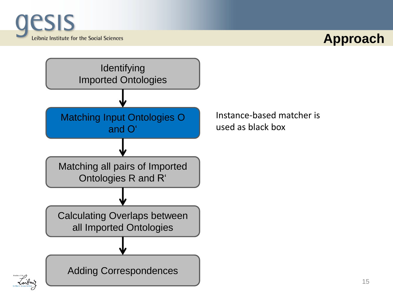



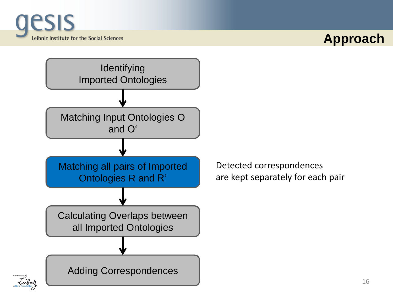

Inibri

#### **Approach**



Detected correspondences are kept separately for each pair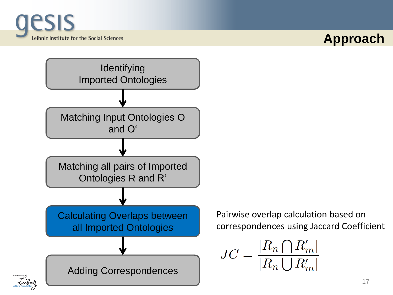



Pairwise overlap calculation based on correspondences using Jaccard Coefficient

$$
JC = \frac{|R_n \bigcap R'_m|}{|R_n \bigcup R'_m|}
$$

Inibri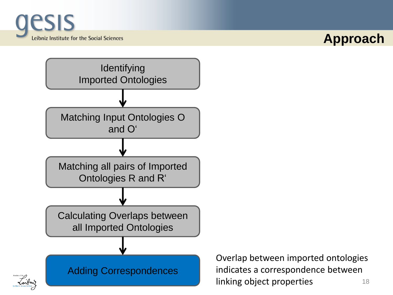

Inibri

#### **Approach**



18 Overlap between imported ontologies indicates a correspondence between linking object properties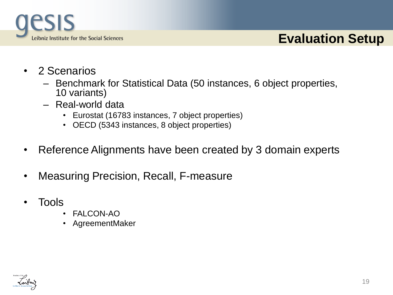

## **Evaluation Setup**

- 2 Scenarios
	- Benchmark for Statistical Data (50 instances, 6 object properties, 10 variants)
	- Real-world data
		- Eurostat (16783 instances, 7 object properties)
		- OECD (5343 instances, 8 object properties)
- Reference Alignments have been created by 3 domain experts
- Measuring Precision, Recall, F-measure
- Tools
	- FALCON-AO
	- AgreementMaker

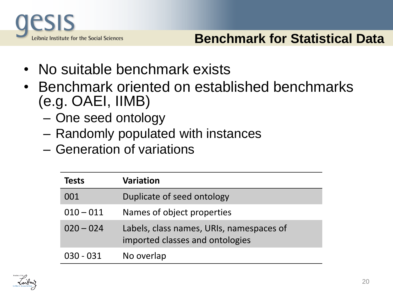

- No suitable benchmark exists
- Benchmark oriented on established benchmarks (e.g. OAEI, IIMB)
	- One seed ontology
	- Randomly populated with instances
	- Generation of variations

| <b>Tests</b> | <b>Variation</b>                                                            |
|--------------|-----------------------------------------------------------------------------|
| 001          | Duplicate of seed ontology                                                  |
| $010 - 011$  | Names of object properties                                                  |
| $020 - 024$  | Labels, class names, URIs, namespaces of<br>imported classes and ontologies |
| $030 - 031$  | No overlap                                                                  |

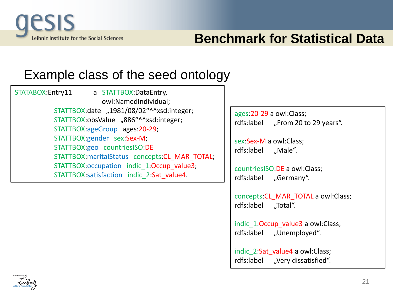

## **Benchmark for Statistical Data**

#### Example class of the seed ontology

STATABOX:Entry11 a STATTBOX:DataEntry, owl:NamedIndividual; STATTBOX:date "1981/08/02"^^xsd:integer; STATTBOX:obsValue "886"^^xsd:integer; STATTBOX:ageGroup ages:20-29; STATTBOX:gender sex:Sex-M; STATTBOX:geo countriesISO:DE STATTBOX:maritalStatus concepts: CL\_MAR\_TOTAL; STATTBOX:occupation indic 1:Occup value3; STATTBOX:satisfaction indic\_2:Sat\_value4.

ages:20-29 a owl:Class; rdfs:label "From 20 to 29 years".

sex:Sex-M a owl:Class; rdfs:label "Male".

countriesISO:DE a owl:Class; rdfs:label "Germany".

concepts:CL\_MAR\_TOTAL a owl:Class; rdfs:label ..Total".

indic 1:Occup value3 a owl:Class; rdfs:label "Unemployed".

indic 2:Sat\_value4 a owl:Class; rdfs:label "Very dissatisfied".

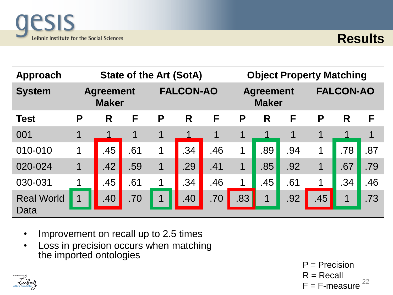



| Approach                  |                                  | <b>State of the Art (SotA)</b> |     |                  |     | <b>Object Property Matching</b> |                                  |                      |     |                  |     |     |
|---------------------------|----------------------------------|--------------------------------|-----|------------------|-----|---------------------------------|----------------------------------|----------------------|-----|------------------|-----|-----|
| <b>System</b>             | <b>Agreement</b><br><b>Maker</b> |                                |     | <b>FALCON-AO</b> |     |                                 | <b>Agreement</b><br><b>Maker</b> |                      |     | <b>FALCON-AO</b> |     |     |
| <b>Test</b>               | P                                | R                              | F   | P                | R   | F                               | P                                | R                    | F   | P                | R   | F   |
| 001                       | 1                                |                                | 1   | 1                |     | 1                               | 1                                |                      | 1   | 1                |     | 1   |
| 010-010                   | 1                                | .45                            | .61 | 1                | .34 | .46                             | 1                                | .89                  | .94 | 1                | .78 | .87 |
| 020-024                   | 1                                | .42                            | .59 |                  | .29 | .41                             | 1                                | .85                  | .92 |                  | .67 | .79 |
| 030-031                   |                                  | .45                            | .61 |                  | .34 | .46                             | 1                                | .45                  | .61 |                  | .34 | .46 |
| <b>Real World</b><br>Data |                                  | .40                            | .70 |                  | .40 | .70                             | .83                              | $\blacktriangleleft$ | .92 | .45              |     | .73 |

- Improvement on recall up to 2.5 times
- Loss in precision occurs when matching the imported ontologies

22  $P = Precision$  $R = Recall$  $F = F$ -measure

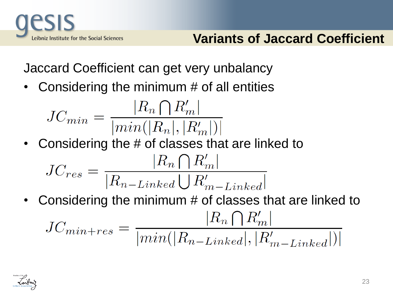

Jaccard Coefficient can get very unbalancy

Considering the minimum  $#$  of all entities

$$
JC_{min} = \frac{|R_n \bigcap R'_m|}{|min(|R_n|, |R'_m|)|}
$$

• Considering the # of classes that are linked to

$$
JC_{res} = \frac{|R_n \bigcap R'_m|}{|R_{n-Linked} \bigcup R'_{m-Linked}|}
$$

• Considering the minimum # of classes that are linked to $JC_{min+res} = \frac{|R_n \bigcap R'_m|}{|min(|R_{n-Linked}|, |R'_{m-Linked}|)|}$ 

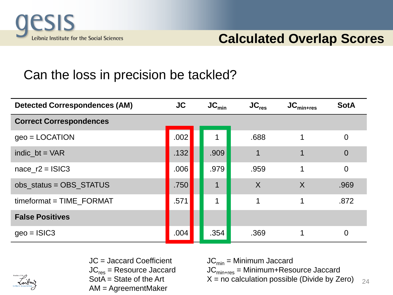

## Can the loss in precision be tackled?

| <b>Detected Correspondences (AM)</b> | <b>JC</b> | $\mathsf{JC}_{\mathsf{min}}$ | $\mathsf{JC}_{\mathsf{res}}$ | $\mathsf{JC}_{\mathsf{min}+\mathsf{res}}$ | <b>SotA</b>    |
|--------------------------------------|-----------|------------------------------|------------------------------|-------------------------------------------|----------------|
| <b>Correct Correspondences</b>       |           |                              |                              |                                           |                |
| $geo = LOGATION$                     | .002      |                              | .688                         | 1                                         | $\overline{0}$ |
| indic $bt = VAR$                     | .132      | .909                         |                              |                                           | $\Omega$       |
| nace $r2 = ISIC3$                    | .006      | .979                         | .959                         |                                           | $\overline{0}$ |
| obs_status = OBS_STATUS              | .750      | $\blacktriangleleft$         | $\sf X$                      | $\sf X$                                   | .969           |
| timeformat = TIME_FORMAT             | .571      | 1                            | 1                            | 1                                         | .872           |
| <b>False Positives</b>               |           |                              |                              |                                           |                |
| $geo = ISIC3$                        | .004      | .354                         | .369                         |                                           | $\Omega$       |



JC = Jaccard Coefficient  $JC_{min}$  = Minimum Jaccard<br>JC<sub>res</sub> = Resource Jaccard JC<sub>min+res</sub> = Minimum+Reso  $JC_{res}$  = Resource Jaccard  $JC_{min+res}$  = Minimum+Resource Jaccard<br>SotA = State of the Art  $X$  = no calculation possible (Divide by Ze AM = AgreementMaker

24  $X = no$  calculation possible (Divide by Zero)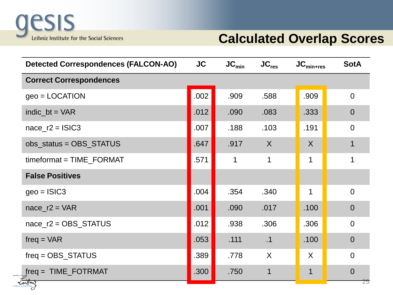

#### **Calculated Overlap Scores**

| <b>Detected Correspondences (FALCON-AO)</b> | <b>JC</b> | $JC_{min}$ | $JC_{res}$  | $JC_{min+res}$ | <b>SotA</b>    |
|---------------------------------------------|-----------|------------|-------------|----------------|----------------|
| <b>Correct Correspondences</b>              |           |            |             |                |                |
| $geo = LOGATION$                            | .002      | .909       | .588        | .909           | $\overline{0}$ |
| $indic_b = VAR$                             | .012      | .090       | .083        | .333           | $\overline{0}$ |
| nace $r2 =$ ISIC3                           | .007      | .188       | .103        | .191           | $\overline{0}$ |
| $obs\_status = OBS\_STATUS$                 | .647      | .917       | X           | $\sf X$        |                |
| $timeformat = TIME_FORMAT$                  | .571      | 1          | $\mathbf 1$ | 1              | 1              |
| <b>False Positives</b>                      |           |            |             |                |                |
| $geo = ISIC3$                               | .004      | .354       | .340        | 1              | $\Omega$       |
| nace $r2 = VAR$                             | .001      | .090       | .017        | .100           | $\overline{0}$ |
| $nace_r2 = OBS_STATUS$                      | .012      | .938       | .306        | .306           | $\overline{0}$ |
| $freq = VAR$                                | .053      | .111       | .1          | .100           | $\overline{0}$ |
| $freq = OBS\_STATUS$                        | .389      | .778       | $\sf X$     | X              | $\Omega$       |
| $freq = TIME\_FOTRMAT$                      | .300      | .750       | 1           | 1              | $\overline{0}$ |
|                                             |           |            |             |                | Z5             |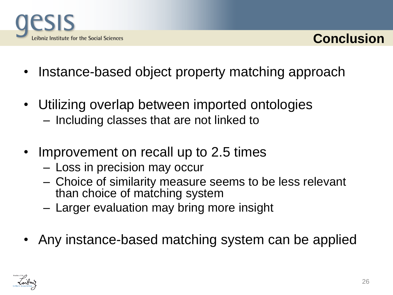



- Instance-based object property matching approach
- Utilizing overlap between imported ontologies
	- Including classes that are not linked to
- Improvement on recall up to 2.5 times
	- Loss in precision may occur
	- Choice of similarity measure seems to be less relevant than choice of matching system
	- Larger evaluation may bring more insight
- Any instance-based matching system can be applied

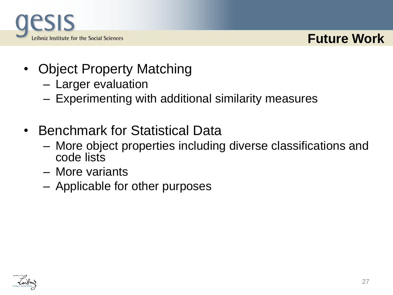

#### **Future Work**

- Object Property Matching
	- Larger evaluation
	- Experimenting with additional similarity measures
- Benchmark for Statistical Data
	- More object properties including diverse classifications and code lists
	- More variants
	- Applicable for other purposes